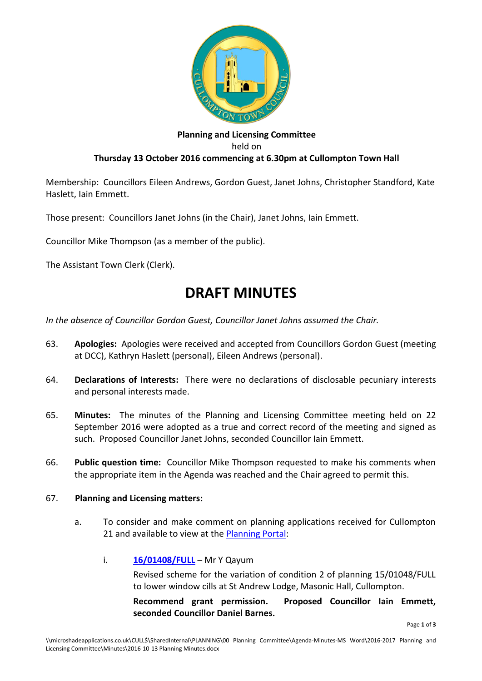

## **Planning and Licensing Committee** held on **Thursday 13 October 2016 commencing at 6.30pm at Cullompton Town Hall**

Membership: Councillors Eileen Andrews, Gordon Guest, Janet Johns, Christopher Standford, Kate Haslett, Iain Emmett.

Those present: Councillors Janet Johns (in the Chair), Janet Johns, Iain Emmett.

Councillor Mike Thompson (as a member of the public).

The Assistant Town Clerk (Clerk).

# **DRAFT MINUTES**

*In the absence of Councillor Gordon Guest, Councillor Janet Johns assumed the Chair.*

- 63. **Apologies:** Apologies were received and accepted from Councillors Gordon Guest (meeting at DCC), Kathryn Haslett (personal), Eileen Andrews (personal).
- 64. **Declarations of Interests:** There were no declarations of disclosable pecuniary interests and personal interests made.
- 65. **Minutes:** The minutes of the Planning and Licensing Committee meeting held on 22 September 2016 were adopted as a true and correct record of the meeting and signed as such. Proposed Councillor Janet Johns, seconded Councillor Iain Emmett.
- 66. **Public question time:** Councillor Mike Thompson requested to make his comments when the appropriate item in the Agenda was reached and the Chair agreed to permit this.

#### 67. **Planning and Licensing matters:**

a. To consider and make comment on planning applications received for Cullompton 21 and available to view at the [Planning Portal:](http://planning.middevon.gov.uk/online-applications/refineSearch.do?action=refine)

#### i. **[16/01408/FULL](http://docs.middevon.gov.uk/pap/index.asp?caseref=16/01408/FULL)** – Mr Y Qayum

Revised scheme for the variation of condition 2 of planning 15/01048/FULL to lower window cills at St Andrew Lodge, Masonic Hall, Cullompton.

**Recommend grant permission. Proposed Councillor Iain Emmett, seconded Councillor Daniel Barnes.**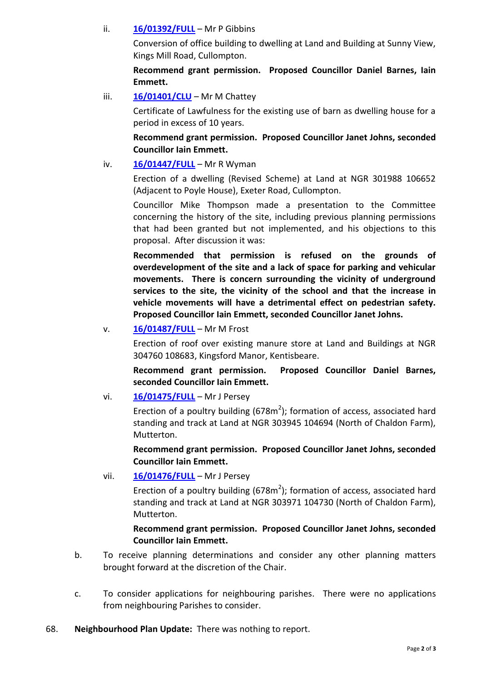#### ii. **[16/01392/FULL](http://docs.middevon.gov.uk/pap/index.asp?caseref=16/01392/FULL)** – Mr P Gibbins

Conversion of office building to dwelling at Land and Building at Sunny View, Kings Mill Road, Cullompton.

**Recommend grant permission. Proposed Councillor Daniel Barnes, Iain Emmett.**

iii. **[16/01401/CLU](http://docs.middevon.gov.uk/pap/index.asp?caseref=16/01401/CLU)** – Mr M Chattey

Certificate of Lawfulness for the existing use of barn as dwelling house for a period in excess of 10 years.

**Recommend grant permission. Proposed Councillor Janet Johns, seconded Councillor Iain Emmett.**

## iv. **[16/01447/FULL](http://docs.middevon.gov.uk/pap/index.asp?caseref=16/01447/FULL)** – Mr R Wyman

Erection of a dwelling (Revised Scheme) at Land at NGR 301988 106652 (Adjacent to Poyle House), Exeter Road, Cullompton.

Councillor Mike Thompson made a presentation to the Committee concerning the history of the site, including previous planning permissions that had been granted but not implemented, and his objections to this proposal. After discussion it was:

**Recommended that permission is refused on the grounds of overdevelopment of the site and a lack of space for parking and vehicular movements. There is concern surrounding the vicinity of underground services to the site, the vicinity of the school and that the increase in vehicle movements will have a detrimental effect on pedestrian safety. Proposed Councillor Iain Emmett, seconded Councillor Janet Johns.**

## v. **[16/01487/FULL](http://docs.middevon.gov.uk/pap/index.asp?caseref=16/01487/FULL)** – Mr M Frost

Erection of roof over existing manure store at Land and Buildings at NGR 304760 108683, Kingsford Manor, Kentisbeare.

**Recommend grant permission. Proposed Councillor Daniel Barnes, seconded Councillor Iain Emmett.**

vi. **[16/01475/FULL](http://docs.middevon.gov.uk/pap/index.asp?caseref=16/01475/FULL)** – Mr J Persey

Erection of a poultry building ( $678m^2$ ); formation of access, associated hard standing and track at Land at NGR 303945 104694 (North of Chaldon Farm), Mutterton.

**Recommend grant permission. Proposed Councillor Janet Johns, seconded Councillor Iain Emmett.**

vii. **[16/01476/FULL](http://docs.middevon.gov.uk/pap/index.asp?caseref=16/01476/FULL)** – Mr J Persey

Erection of a poultry building ( $678m^2$ ); formation of access, associated hard standing and track at Land at NGR 303971 104730 (North of Chaldon Farm), Mutterton.

# **Recommend grant permission. Proposed Councillor Janet Johns, seconded Councillor Iain Emmett.**

- b. To receive planning determinations and consider any other planning matters brought forward at the discretion of the Chair.
- c. To consider applications for neighbouring parishes. There were no applications from neighbouring Parishes to consider.
- 68. **Neighbourhood Plan Update:** There was nothing to report.